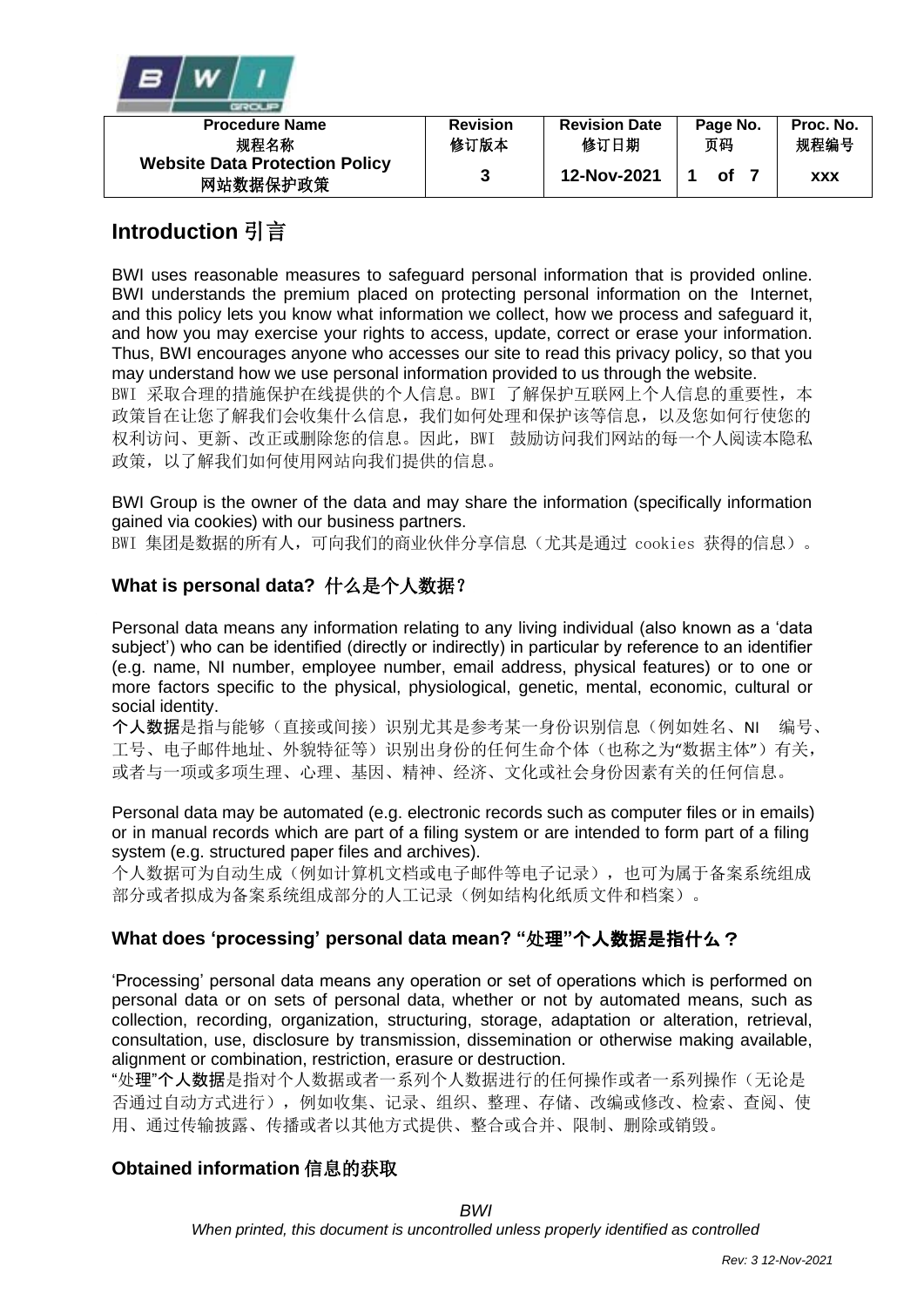

| <b>Procedure Name</b>                             | <b>Revision</b> | <b>Revision Date</b> | Page No. | Proc. No.  |
|---------------------------------------------------|-----------------|----------------------|----------|------------|
| 规程名称                                              | 修订版本            | 修订日期                 | 页码       | 规程编号       |
| <b>Website Data Protection Policy</b><br>网站数据保护政策 |                 | 12-Nov-2021          | οf       | <b>XXX</b> |

# **Introduction** 引言

BWI uses reasonable measures to safeguard personal information that is provided online. BWI understands the premium placed on protecting personal information on the Internet, and this policy lets you know what information we collect, how we process and safeguard it, and how you may exercise your rights to access, update, correct or erase your information. Thus, BWI encourages anyone who accesses our site to read this privacy policy, so that you may understand how we use personal information provided to us through the website.

BWI 采取合理的措施保护在线提供的个人信息。BWI 了解保护互联网上个人信息的重要性, 本 政策旨在让您了解我们会收集什么信息,我们如何处理和保护该等信息,以及您如何行使您的 权利访问、更新、改正或删除您的信息。因此,BWI 鼓励访问我们网站的每一个人阅读本隐私 政策, 以了解我们如何使用网站向我们提供的信息。

BWI Group is the owner of the data and may share the information (specifically information gained via cookies) with our business partners.

BWI 集团是数据的所有人,可向我们的商业伙伴分享信息(尤其是通过 cookies 获得的信息)。

## **What is personal data?** 什么是个人数据?

Personal data means any information relating to any living individual (also known as a 'data subject') who can be identified (directly or indirectly) in particular by reference to an identifier (e.g. name, NI number, employee number, email address, physical features) or to one or more factors specific to the physical, physiological, genetic, mental, economic, cultural or social identity.

个人数据是指与能够(直接或间接)识别尤其是参考某一身份识别信息(例如姓名、NI 编号、 工号、电子邮件地址、外貌特征等)识别出身份的任何生命个体(也称之为"数据主体")有关, 或者与一项或多项生理、心理、基因、精神、经济、文化或社会身份因素有关的任何信息。

Personal data may be automated (e.g. electronic records such as computer files or in emails) or in manual records which are part of a filing system or are intended to form part of a filing system (e.g. structured paper files and archives).

个人数据可为自动生成(例如计算机文档或电子邮件等电子记录),也可为属于备案系统组成 部分或者拟成为备案系统组成部分的人工记录(例如结构化纸质文件和档案)。

## **What does 'processing' personal data mean? "**处理**"**个人数据是指什么?

'Processing' personal data means any operation or set of operations which is performed on personal data or on sets of personal data, whether or not by automated means, such as collection, recording, organization, structuring, storage, adaptation or alteration, retrieval, consultation, use, disclosure by transmission, dissemination or otherwise making available, alignment or combination, restriction, erasure or destruction.

"处理"个人数据是指对个人数据或者一系列个人数据进行的任何操作或者一系列操作(无论是 否通过自动方式进行),例如收集、记录、组织、整理、存储、改编或修改、检索、查阅、使 用、通过传输披露、传播或者以其他方式提供、整合或合并、限制、删除或销毁。

## **Obtained information** 信息的获取

*BWI*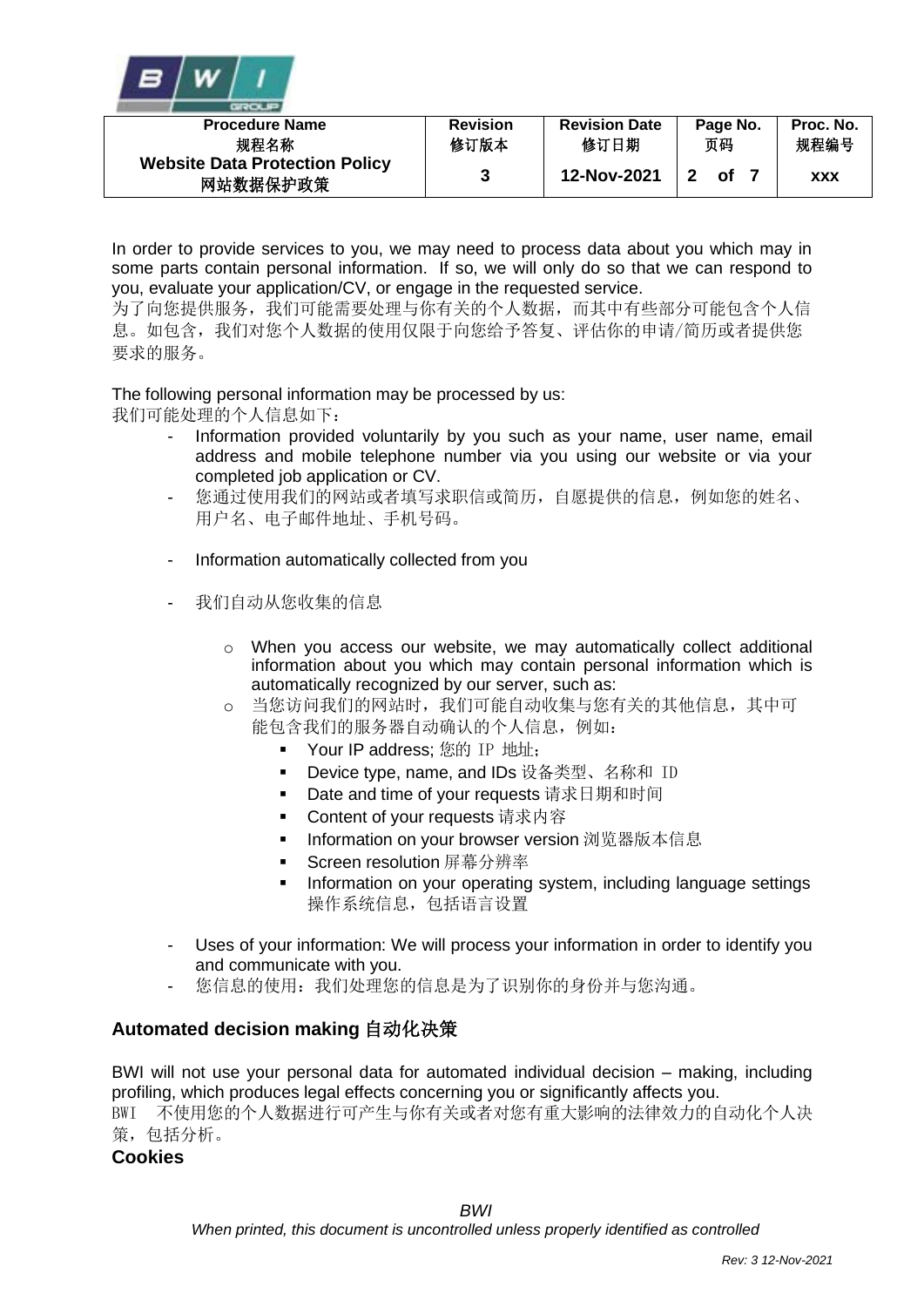

| <b>Procedure Name</b>                             | <b>Revision</b> | <b>Revision Date</b> | Page No. | Proc. No.  |
|---------------------------------------------------|-----------------|----------------------|----------|------------|
| 规程名称                                              | 修订版本            | 修订日期                 | 页码       | 规程编号       |
| <b>Website Data Protection Policy</b><br>网站数据保护政策 |                 | 12-Nov-2021          | Ωf       | <b>XXX</b> |

In order to provide services to you, we may need to process data about you which may in some parts contain personal information. If so, we will only do so that we can respond to you, evaluate your application/CV, or engage in the requested service.

为了向您提供服务,我们可能需要处理与你有关的个人数据,而其中有些部分可能包含个人信 息。如包含,我们对您个人数据的使用仅限于向您给予答复、评估你的申请/简历或者提供您 要求的服务。

The following personal information may be processed by us:

我们可能处理的个人信息如下:

- Information provided voluntarily by you such as your name, user name, email address and mobile telephone number via you using our website or via your completed job application or CV.
- 您通过使用我们的网站或者填写求职信或简历,自愿提供的信息,例如您的姓名、 用户名、电子邮件地址、手机号码。
- Information automatically collected from you
- 我们自动从您收集的信息
	- o When you access our website, we may automatically collect additional information about you which may contain personal information which is automatically recognized by our server, such as:
	- o 当您访问我们的网站时,我们可能自动收集与您有关的其他信息,其中可 能包含我们的服务器自动确认的个人信息,例如:
		- Your IP address; 您的 IP 地址;
		- Device type, name, and IDs 设备类型、名称和 ID
		- Date and time of your requests 请求日期和时间
		- Content of your requests 请求内容
		- Information on your browser version 浏览器版本信息
		- Screen resolution 屏幕分辨率
		- **•** Information on your operating system, including language settings 操作系统信息,包括语言设置
- Uses of your information: We will process your information in order to identify you and communicate with you.
- 您信息的使用: 我们处理您的信息是为了识别你的身份并与您沟通。

#### **Automated decision making** 自动化决策

BWI will not use your personal data for automated individual decision – making, including profiling, which produces legal effects concerning you or significantly affects you. BWI 不使用您的个人数据进行可产生与你有关或者对您有重大影响的法律效力的自动化个人决 策,包括分析。

**Cookies**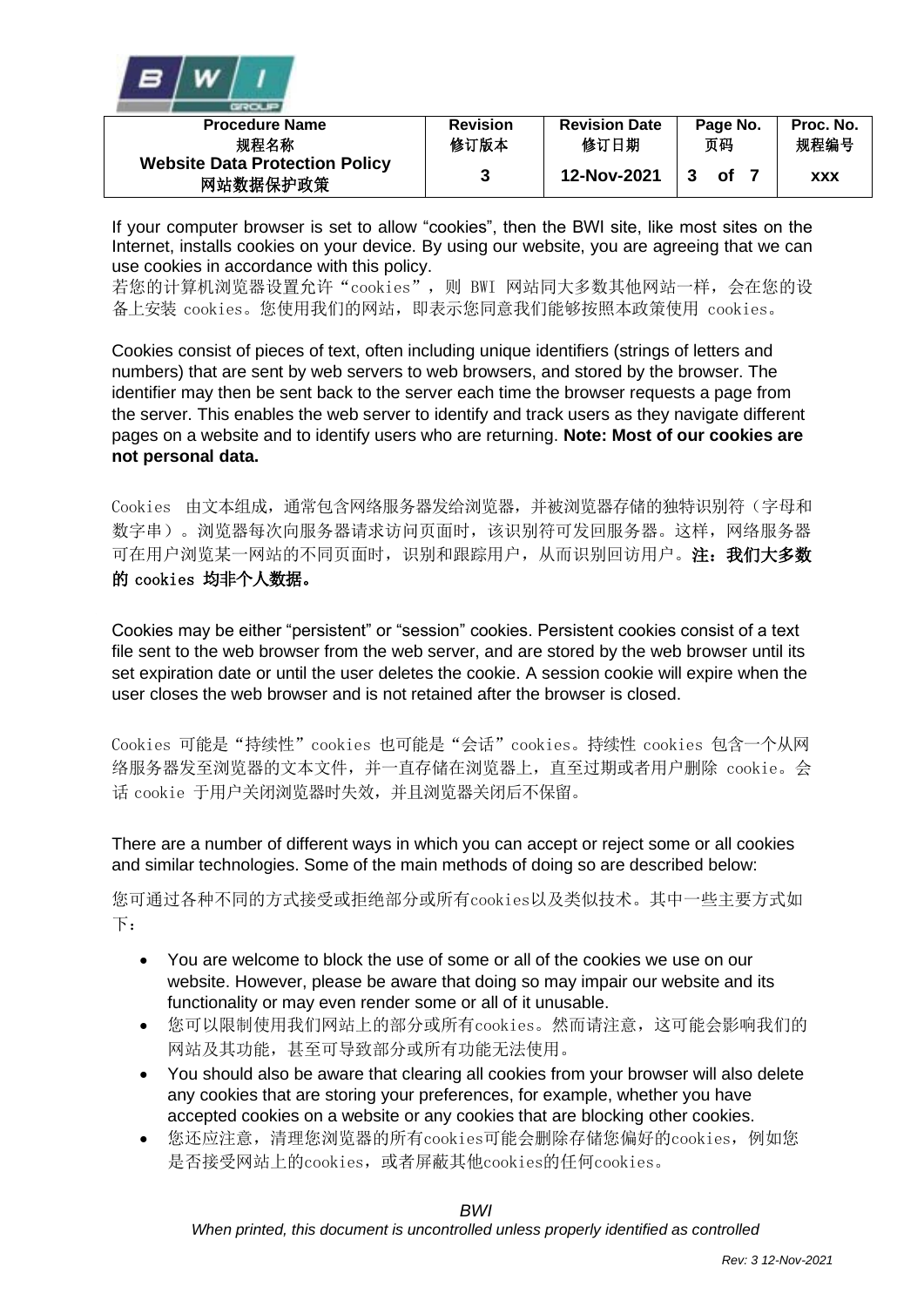

| <b>Procedure Name</b>                             | <b>Revision</b> | <b>Revision Date</b> | Page No. | Proc. No.  |
|---------------------------------------------------|-----------------|----------------------|----------|------------|
| 规程名称                                              | 修订版本            | 修订日期                 | 页码       | 规程编号       |
| <b>Website Data Protection Policy</b><br>网站数据保护政策 |                 | 12-Nov-2021          | Ωf       | <b>XXX</b> |

If your computer browser is set to allow "cookies", then the BWI site, like most sites on the Internet, installs cookies on your device. By using our website, you are agreeing that we can use cookies in accordance with this policy.

若您的计算机浏览器设置允许"cookies",则 BWI 网站同大多数其他网站一样,会在您的设 备上安装 cookies。您使用我们的网站,即表示您同意我们能够按照本政策使用 cookies。

Cookies consist of pieces of text, often including unique identifiers (strings of letters and numbers) that are sent by web servers to web browsers, and stored by the browser. The identifier may then be sent back to the server each time the browser requests a page from the server. This enables the web server to identify and track users as they navigate different pages on a website and to identify users who are returning. **Note: Most of our cookies are not personal data.**

Cookies 由文本组成,通常包含网络服务器发给浏览器,并被浏览器存储的独特识别符(字母和 数字串)。浏览器每次向服务器请求访问页面时,该识别符可发回服务器。这样,网络服务器 可在用户浏览某一网站的不同页面时,识别和跟踪用户,从而识别回访用户。注:我们大多数 的 cookies 均非个人数据。

Cookies may be either "persistent" or "session" cookies. Persistent cookies consist of a text file sent to the web browser from the web server, and are stored by the web browser until its set expiration date or until the user deletes the cookie. A session cookie will expire when the user closes the web browser and is not retained after the browser is closed.

Cookies 可能是"持续性"cookies 也可能是"会话"cookies。持续性 cookies 包含一个从网 络服务器发至浏览器的文本文件,并一直存储在浏览器上,直至过期或者用户删除 cookie。会 话 cookie 于用户关闭浏览器时失效,并且浏览器关闭后不保留。

There are a number of different ways in which you can accept or reject some or all cookies and similar technologies. Some of the main methods of doing so are described below:

您可通过各种不同的方式接受或拒绝部分或所有cookies以及类似技术。其中一些主要方式如 下:

- You are welcome to block the use of some or all of the cookies we use on our website. However, please be aware that doing so may impair our website and its functionality or may even render some or all of it unusable.
- 您可以限制使用我们网站上的部分或所有cookies。然而请注意,这可能会影响我们的 网站及其功能,甚至可导致部分或所有功能无法使用。
- You should also be aware that clearing all cookies from your browser will also delete any cookies that are storing your preferences, for example, whether you have accepted cookies on a website or any cookies that are blocking other cookies.
- 您还应注意,清理您浏览器的所有cookies可能会删除存储您偏好的cookies,例如您 是否接受网站上的cookies,或者屏蔽其他cookies的任何cookies。

*BWI*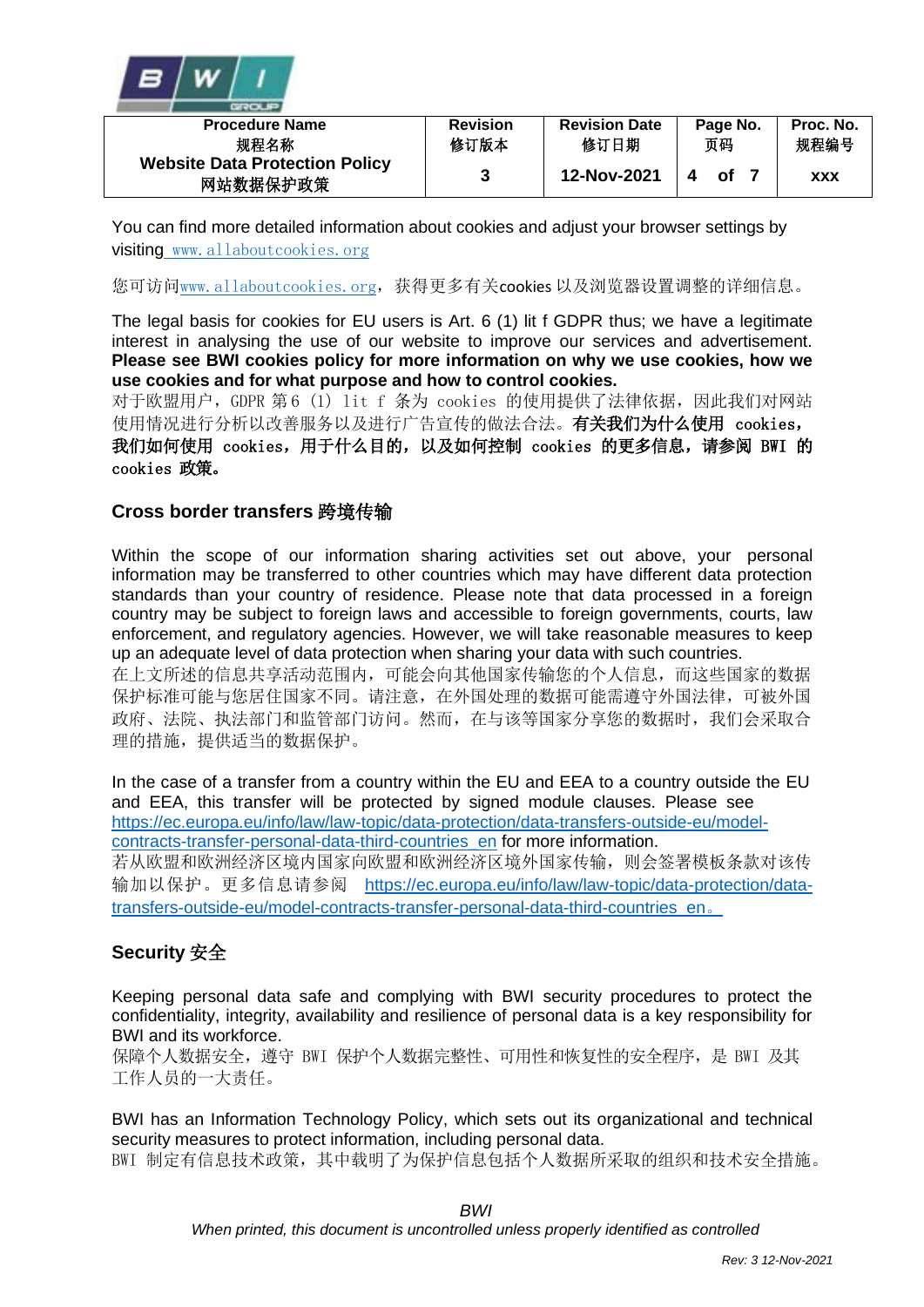

| <b>Procedure Name</b>                             | <b>Revision</b> | <b>Revision Date</b> | Page No. | Proc. No.  |
|---------------------------------------------------|-----------------|----------------------|----------|------------|
| 规程名称                                              | 修订版本            | 修订日期                 | 页码       | 规程编号       |
| <b>Website Data Protection Policy</b><br>网站数据保护政策 |                 | 12-Nov-2021          | റf       | <b>XXX</b> |

You can find more detailed information about cookies and adjust your browser settings by visiting [www.allaboutcookies.org](http://www.allaboutcookies.org/)

您可访问[www.allaboutcookies.org](http://www.allaboutcookies.org/),获得更多有关cookies 以及浏览器设置调整的详细信息。

The legal basis for cookies for EU users is Art. 6 (1) lit f GDPR thus; we have a legitimate interest in analysing the use of our website to improve our services and advertisement. **Please see BWI cookies policy for more information on why we use cookies, how we use cookies and for what purpose and how to control cookies.**

对于欧盟用户,GDPR 第 6 (1) lit f 条为 cookies 的使用提供了法律依据,因此我们对网站 使用情况进行分析以改善服务以及进行广告宣传的做法合法。有关我们为什么使用 cookies, 我们如何使用 cookies, 用于什么目的, 以及如何控制 cookies 的更多信息, 请参阅 BWI 的 cookies 政策。

#### **Cross border transfers** 跨境传输

Within the scope of our information sharing activities set out above, your personal information may be transferred to other countries which may have different data protection standards than your country of residence. Please note that data processed in a foreign country may be subject to foreign laws and accessible to foreign governments, courts, law enforcement, and regulatory agencies. However, we will take reasonable measures to keep up an adequate level of data protection when sharing your data with such countries. 在上文所述的信息共享活动范围内,可能会向其他国家传输您的个人信息,而这些国家的数据

保护标准可能与您居住国家不同。请注意,在外国处理的数据可能需遵守外国法律,可被外国 政府、法院、执法部门和监管部门访问。然而,在与该等国家分享您的数据时,我们会采取合 理的措施, 提供适当的数据保护。

In the case of a transfer from a country within the EU and EEA to a country outside the EU and EEA, this transfer will be protected by signed module clauses. Please see [https://ec.europa.eu/info/law/law-topic/data-protection/data-transfers-outside-eu/model](https://ec.europa.eu/info/law/law-topic/data-protection/data-transfers-outside-eu/model-contracts-transfer-personal-data-third-countries_en)[contracts-transfer-personal-data-third-countries\\_en](https://ec.europa.eu/info/law/law-topic/data-protection/data-transfers-outside-eu/model-contracts-transfer-personal-data-third-countries_en) for more information. 若从欧盟和欧洲经济区境内国家向欧盟和欧洲经济区境外国家传输,则会签署模板条款对该传 输加以保护。更多信息请参阅 [https://ec.europa.eu/info/law/law-topic/data-protection/data](https://ec.europa.eu/info/law/law-topic/data-protection/data-transfers-outside-eu/model-contracts-transfer-personal-data-third-countries_en)[transfers-outside-eu/model-contracts-transfer-personal-data-third-countries\\_en](https://ec.europa.eu/info/law/law-topic/data-protection/data-transfers-outside-eu/model-contracts-transfer-personal-data-third-countries_en)。

## **Security** 安全

Keeping personal data safe and complying with BWI security procedures to protect the confidentiality, integrity, availability and resilience of personal data is a key responsibility for BWI and its workforce.

保障个人数据安全,遵守 BWI 保护个人数据完整性、可用性和恢复性的安全程序,是 BWI 及其 工作人员的一大责任。

BWI has an Information Technology Policy, which sets out its organizational and technical security measures to protect information, including personal data. BWI 制定有信息技术政策, 其中载明了为保护信息包括个人数据所采取的组织和技术安全措施。

*BWI*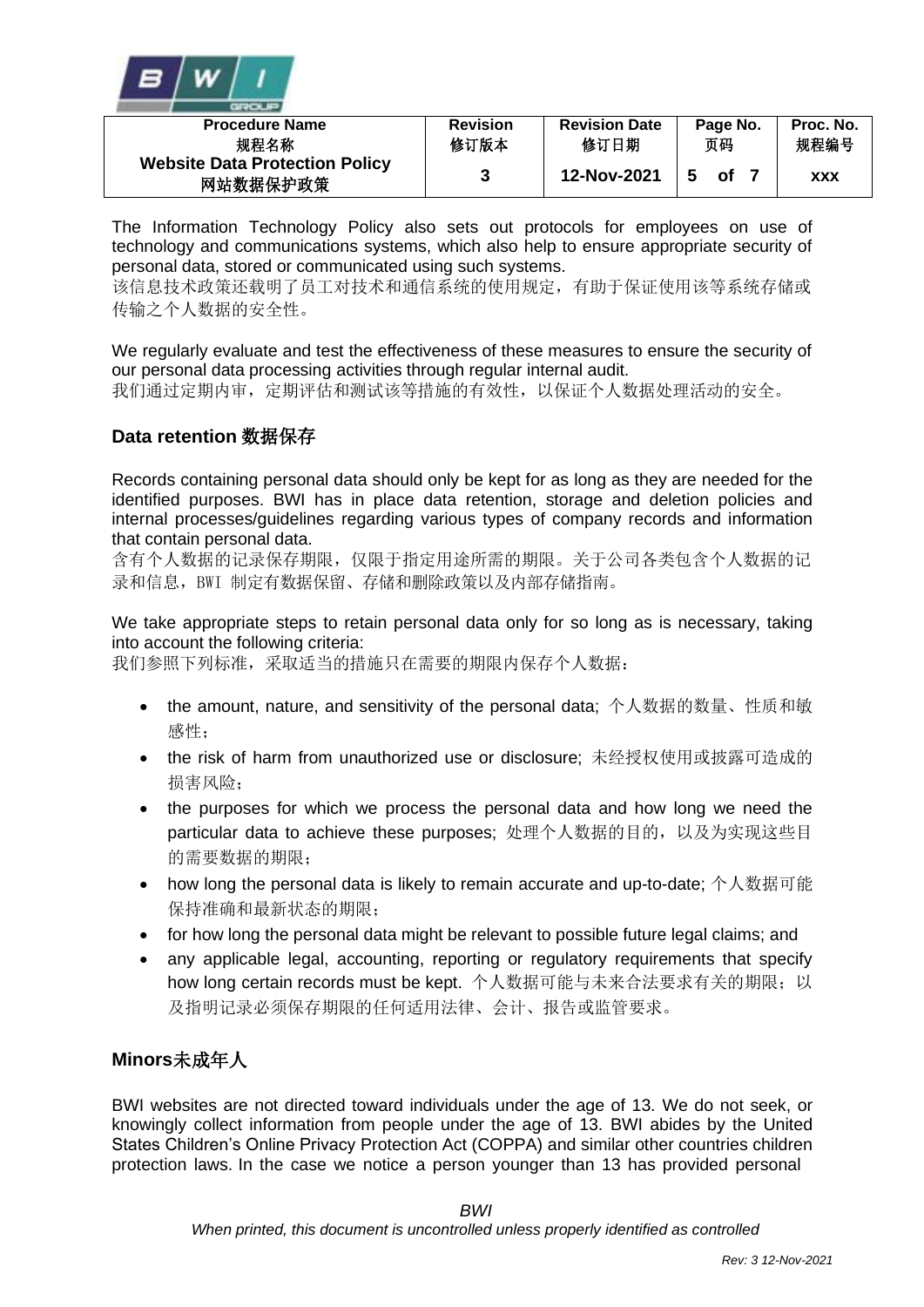

| <b>Procedure Name</b>                             | <b>Revision</b> | <b>Revision Date</b> | Page No. | Proc. No.  |
|---------------------------------------------------|-----------------|----------------------|----------|------------|
| 规程名称                                              | 修订版本            | 修订日期                 | 页码       | 规程编号       |
| <b>Website Data Protection Policy</b><br>网站数据保护政策 | 2               | 12-Nov-2021          | οf       | <b>XXX</b> |

The Information Technology Policy also sets out protocols for employees on use of technology and communications systems, which also help to ensure appropriate security of personal data, stored or communicated using such systems.

该信息技术政策还载明了员工对技术和通信系统的使用规定,有助于保证使用该等系统存储或 传输之个人数据的安全性。

We regularly evaluate and test the effectiveness of these measures to ensure the security of our personal data processing activities through regular internal audit.

我们通过定期内审,定期评估和测试该等措施的有效性,以保证个人数据处理活动的安全。

#### **Data retention** 数据保存

Records containing personal data should only be kept for as long as they are needed for the identified purposes. BWI has in place data retention, storage and deletion policies and internal processes/guidelines regarding various types of company records and information that contain personal data.

含有个人数据的记录保存期限,仅限于指定用途所需的期限。关于公司各类包含个人数据的记 录和信息,BWI 制定有数据保留、存储和删除政策以及内部存储指南。

We take appropriate steps to retain personal data only for so long as is necessary, taking into account the following criteria:

我们参照下列标准,采取适当的措施只在需要的期限内保存个人数据:

- the amount, nature, and sensitivity of the personal data; 个人数据的数量、性质和敏 感性;
- the risk of harm from unauthorized use or disclosure; 未经授权使用或披露可造成的 损害风险;
- the purposes for which we process the personal data and how long we need the particular data to achieve these purposes; 处理个人数据的目的,以及为实现这些目 的需要数据的期限;
- how long the personal data is likely to remain accurate and up-to-date; 个人数据可能 保持准确和最新状态的期限;
- for how long the personal data might be relevant to possible future legal claims; and
- any applicable legal, accounting, reporting or regulatory requirements that specify how long certain records must be kept. 个人数据可能与未来合法要求有关的期限; 以 及指明记录必须保存期限的任何适用法律、会计、报告或监管要求。

## **Minors**未成年人

BWI websites are not directed toward individuals under the age of 13. We do not seek, or knowingly collect information from people under the age of 13. BWI abides by the United States Children's Online Privacy Protection Act (COPPA) and similar other countries children protection laws. In the case we notice a person younger than 13 has provided personal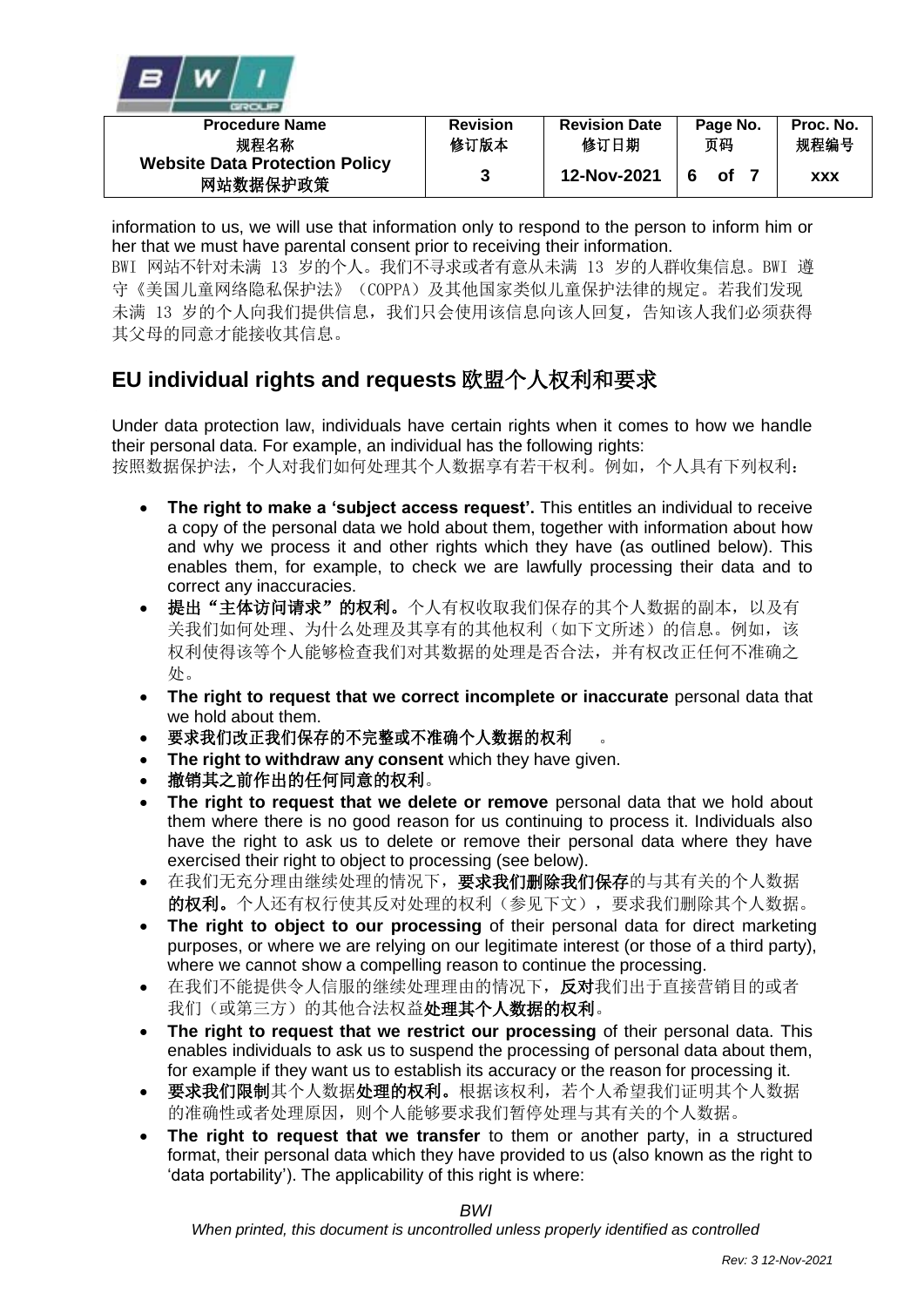

| <b>Procedure Name</b>                             | <b>Revision</b> | <b>Revision Date</b> | Page No. | Proc. No.  |
|---------------------------------------------------|-----------------|----------------------|----------|------------|
| 规程名称                                              | 修订版本            | 修订日期                 | 页码       | 规程编号       |
| <b>Website Data Protection Policy</b><br>网站数据保护政策 | 3               | 12-Nov-2021          | οf       | <b>XXX</b> |

information to us, we will use that information only to respond to the person to inform him or her that we must have parental consent prior to receiving their information.

BWI 网站不针对未满 13 岁的个人。我们不寻求或者有意从未满 13 岁的人群收集信息。BWI 遵 守《美国儿童网络隐私保护法》(COPPA)及其他国家类似儿童保护法律的规定。若我们发现 未满 13 岁的个人向我们提供信息,我们只会使用该信息向该人回复,告知该人我们必须获得 其父母的同意才能接收其信息。

# **EU individual rights and requests** 欧盟个人权利和要求

Under data protection law, individuals have certain rights when it comes to how we handle their personal data. For example, an individual has the following rights: 按照数据保护法,个人对我们如何处理其个人数据享有若干权利。例如,个人具有下列权利:

- **The right to make a 'subject access request'.** This entitles an individual to receive a copy of the personal data we hold about them, together with information about how and why we process it and other rights which they have (as outlined below). This enables them, for example, to check we are lawfully processing their data and to correct any inaccuracies.
- 提出"主体访问请求"的权利。个人有权收取我们保存的其个人数据的副本,以及有 关我们如何处理、为什么处理及其享有的其他权利(如下文所述)的信息。例如,该 权利使得该等个人能够检查我们对其数据的处理是否合法,并有权改正任何不准确之 处。
- **The right to request that we correct incomplete or inaccurate** personal data that we hold about them.
- 要求我们改正我们保存的不完整或不准确个人数据的权利
- **The right to withdraw any consent** which they have given.
- 撤销其之前作出的任何同意的权利。
- **The right to request that we delete or remove** personal data that we hold about them where there is no good reason for us continuing to process it. Individuals also have the right to ask us to delete or remove their personal data where they have exercised their right to object to processing (see below).
- 在我们无充分理由继续处理的情况下,要求我们删除我们保存的与其有关的个人数据 的权利。个人还有权行使其反对处理的权利(参见下文),要求我们删除其个人数据。
- The right to object to our processing of their personal data for direct marketing purposes, or where we are relying on our legitimate interest (or those of a third party), where we cannot show a compelling reason to continue the processing.
- 在我们不能提供令人信服的继续处理理由的情况下,反对我们出于直接营销目的或者 我们(或第三方)的其他合法权益处理其个人数据的权利。
- The right to request that we restrict our processing of their personal data. This enables individuals to ask us to suspend the processing of personal data about them, for example if they want us to establish its accuracy or the reason for processing it.
- 要求我们限制其个人数据处理的权利。根据该权利,若个人希望我们证明其个人数据 的准确性或者处理原因,则个人能够要求我们暂停处理与其有关的个人数据。
- **The right to request that we transfer** to them or another party, in a structured format, their personal data which they have provided to us (also known as the right to 'data portability'). The applicability of this right is where:

*BWI*